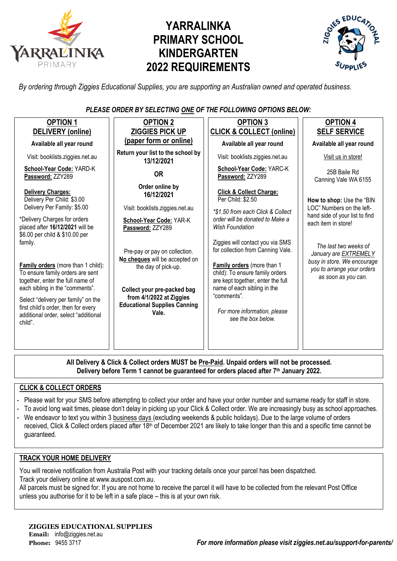

# **YARRALINKA PRIMARY SCHOOL KINDERGARTEN 2022 REQUIREMENTS**



*By ordering through Ziggies Educational Supplies, you are supporting an Australian owned and operated business.*

*PLEASE ORDER BY SELECTING ONE OF THE FOLLOWING OPTIONS BELOW:*

| <b>OPTION 1</b>                                                                                                                                                                                                                                                                                                                                                                                                                                                                         | <b>OPTION 2</b>                                                                                                                                                                                                                                                                                                      | <b>OPTION 3</b>                                                                                                                                                                                                                                                                                                                                                                                                                              | <b>OPTION 4</b>                                                                                                                                                                                                                                                                      |
|-----------------------------------------------------------------------------------------------------------------------------------------------------------------------------------------------------------------------------------------------------------------------------------------------------------------------------------------------------------------------------------------------------------------------------------------------------------------------------------------|----------------------------------------------------------------------------------------------------------------------------------------------------------------------------------------------------------------------------------------------------------------------------------------------------------------------|----------------------------------------------------------------------------------------------------------------------------------------------------------------------------------------------------------------------------------------------------------------------------------------------------------------------------------------------------------------------------------------------------------------------------------------------|--------------------------------------------------------------------------------------------------------------------------------------------------------------------------------------------------------------------------------------------------------------------------------------|
| <b>DELIVERY</b> (online)                                                                                                                                                                                                                                                                                                                                                                                                                                                                | <b>ZIGGIES PICK UP</b>                                                                                                                                                                                                                                                                                               | <b>CLICK &amp; COLLECT (online)</b>                                                                                                                                                                                                                                                                                                                                                                                                          | <b>SELF SERVICE</b>                                                                                                                                                                                                                                                                  |
| Available all year round                                                                                                                                                                                                                                                                                                                                                                                                                                                                | (paper form or online)                                                                                                                                                                                                                                                                                               | Available all year round                                                                                                                                                                                                                                                                                                                                                                                                                     | Available all year round                                                                                                                                                                                                                                                             |
| Visit: booklists.ziggies.net.au                                                                                                                                                                                                                                                                                                                                                                                                                                                         | Return your list to the school by<br>13/12/2021                                                                                                                                                                                                                                                                      | Visit: booklists.ziggies.net.au                                                                                                                                                                                                                                                                                                                                                                                                              | Visit us in store!                                                                                                                                                                                                                                                                   |
| School-Year Code: YARD-K<br>Password: ZZY289                                                                                                                                                                                                                                                                                                                                                                                                                                            | <b>OR</b>                                                                                                                                                                                                                                                                                                            | School-Year Code: YARC-K<br>Password: ZZY289                                                                                                                                                                                                                                                                                                                                                                                                 | 25B Baile Rd                                                                                                                                                                                                                                                                         |
| Delivery Charges:<br>Delivery Per Child: \$3.00<br>Delivery Per Family: \$5.00<br>*Delivery Charges for orders<br>placed after 16/12/2021 will be<br>\$6.00 per child & \$10.00 per<br>family.<br><b>Family orders</b> (more than 1 child):<br>To ensure family orders are sent<br>together, enter the full name of<br>each sibling in the "comments".<br>Select "delivery per family" on the<br>first child's order, then for every<br>additional order, select "additional<br>child". | Order online by<br>16/12/2021<br>Visit: booklists.ziggies.net.au<br>School-Year Code: YAR-K<br>Password: ZZY289<br>Pre-pay or pay on collection.<br>No cheques will be accepted on<br>the day of pick-up.<br>Collect your pre-packed bag<br>from 4/1/2022 at Ziggies<br><b>Educational Supplies Canning</b><br>Vale. | <b>Click &amp; Collect Charge:</b><br>Per Child: \$2.50<br>*\$1.50 from each Click & Collect<br>order will be donated to Make a<br><b>Wish Foundation</b><br>Ziggies will contact you via SMS<br>for collection from Canning Vale.<br>Family orders (more than 1<br>child): To ensure family orders<br>are kept together, enter the full<br>name of each sibling in the<br>"comments".<br>For more information, please<br>see the box below. | Canning Vale WA 6155<br>How to shop: Use the "BIN<br>LOC" Numbers on the left-<br>hand side of your list to find<br>each item in store!<br>The last two weeks of<br>January are <b>EXTREMELY</b><br>busy in store. We encourage<br>you to arrange your orders<br>as soon as you can. |
|                                                                                                                                                                                                                                                                                                                                                                                                                                                                                         |                                                                                                                                                                                                                                                                                                                      |                                                                                                                                                                                                                                                                                                                                                                                                                                              |                                                                                                                                                                                                                                                                                      |

**All Delivery & Click & Collect orders MUST be Pre-Paid. Unpaid orders will not be processed. Delivery before Term 1 cannot be guaranteed for orders placed after 7th January 2022.**

#### **CLICK & COLLECT ORDERS**

- Please wait for your SMS before attempting to collect your order and have your order number and surname ready for staff in store.
- To avoid long wait times, please don't delay in picking up your Click & Collect order. We are increasingly busy as school approaches.
- We endeavor to text you within 3 business days (excluding weekends & public holidays). Due to the large volume of orders received, Click & Collect orders placed after 18<sup>th</sup> of December 2021 are likely to take longer than this and a specific time cannot be guaranteed.

#### **TRACK YOUR HOME DELIVERY**

You will receive notification from Australia Post with your tracking details once your parcel has been dispatched. Track your delivery online a[t www.auspost.com.au.](http://www.auspost.com.au/)

All parcels must be signed for. If you are not home to receive the parcel it will have to be collected from the relevant Post Office unless you authorise for it to be left in a safe place – this is at your own risk.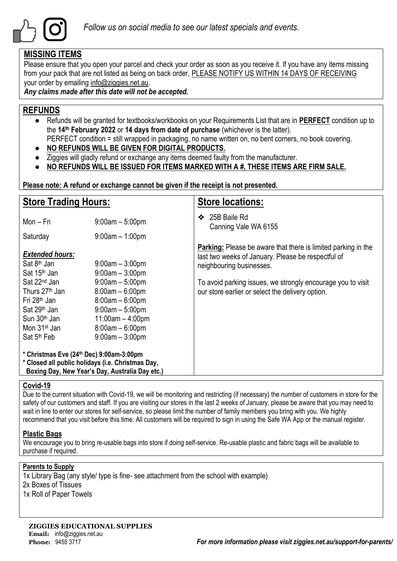

### **MISSING ITEMS**

Please ensure that you open your parcel and check your order as soon as you receive it. If you have any items missing from your pack that are not listed as being on back order, PLEASE NOTIFY US WITHIN 14 DAYS OF RECEIVING your order by emailing info@ziggies.net.au.

*Any claims made after this date will not be accepted.*

## **REFUNDS**

- Refunds will be granted for textbooks/workbooks on your Requirements List that are in **PERFECT** condition up to the **14th February 2022** or **14 days from date of purchase** (whichever is the latter). PERFECT condition = still wrapped in packaging, no name written on, no bent corners, no book covering.
- **NO REFUNDS WILL BE GIVEN FOR DIGITAL PRODUCTS.**
- Ziggies will gladly refund or exchange any items deemed faulty from the manufacturer.
- **NO REFUNDS WILL BE ISSUED FOR ITEMS MARKED WITH A #, THESE ITEMS ARE FIRM SALE.**

**Please note: A refund or exchange cannot be given if the receipt is not presented.**

| <b>Store Trading Hours:</b>                                                                                                                                                                                                                                                                                                    |                                                                                                                                                                                                  | <b>Store locations:</b>                                                                                                                                                                                                                                                   |  |  |
|--------------------------------------------------------------------------------------------------------------------------------------------------------------------------------------------------------------------------------------------------------------------------------------------------------------------------------|--------------------------------------------------------------------------------------------------------------------------------------------------------------------------------------------------|---------------------------------------------------------------------------------------------------------------------------------------------------------------------------------------------------------------------------------------------------------------------------|--|--|
| Mon – Fri                                                                                                                                                                                                                                                                                                                      | $9:00am - 5:00pm$                                                                                                                                                                                | 25B Baile Rd<br>❖<br>Canning Vale WA 6155                                                                                                                                                                                                                                 |  |  |
| Saturday                                                                                                                                                                                                                                                                                                                       | $9:00am - 1:00pm$                                                                                                                                                                                |                                                                                                                                                                                                                                                                           |  |  |
| <b>Extended hours:</b><br>Sat 8 <sup>th</sup> Jan<br>Sat 15 <sup>th</sup> Jan<br>Sat 22 <sup>nd</sup> Jan<br>Thurs 27 <sup>th</sup> Jan<br>Fri 28 <sup>th</sup> Jan<br>Sat 29 <sup>th</sup> Jan<br>Sun 30 <sup>th</sup> Jan<br>Mon 31 <sup>st</sup> Jan<br>Sat 5 <sup>th</sup> Feb<br>* Christmas Eve (24th Dec) 9:00am-3:00pm | $9:00$ am $-3:00$ pm<br>$9:00$ am $-3:00$ pm<br>$9:00am - 5:00pm$<br>$8:00am - 6:00pm$<br>$8:00am - 6:00pm$<br>$9:00am - 5:00pm$<br>$11:00am - 4:00pm$<br>$8:00am - 6:00pm$<br>$9:00am - 3:00pm$ | <b>Parking:</b> Please be aware that there is limited parking in the<br>last two weeks of January. Please be respectful of<br>neighbouring businesses.<br>To avoid parking issues, we strongly encourage you to visit<br>our store earlier or select the delivery option. |  |  |
| * Closed all public holidays (i.e. Christmas Day,<br>Boxing Day, New Year's Day, Australia Day etc.)                                                                                                                                                                                                                           |                                                                                                                                                                                                  |                                                                                                                                                                                                                                                                           |  |  |

### **Covid-19**

Due to the current situation with Covid-19, we will be monitoring and restricting (if necessary) the number of customers in store for the safety of our customers and staff. If you are visiting our stores in the last 2 weeks of January, please be aware that you may need to wait in line to enter our stores for self-service, so please limit the number of family members you bring with you. We highly recommend that you visit before this time. All customers will be required to sign in using the Safe WA App or the manual register.

### **Plastic Bags**

We encourage you to bring re-usable bags into store if doing self-service. Re-usable plastic and fabric bags will be available to purchase if required.

#### **Parents to Supply**

1x Library Bag (any style/ type is fine- see attachment from the school with example) 2x Boxes of Tissues 1x Roll of Paper Towels